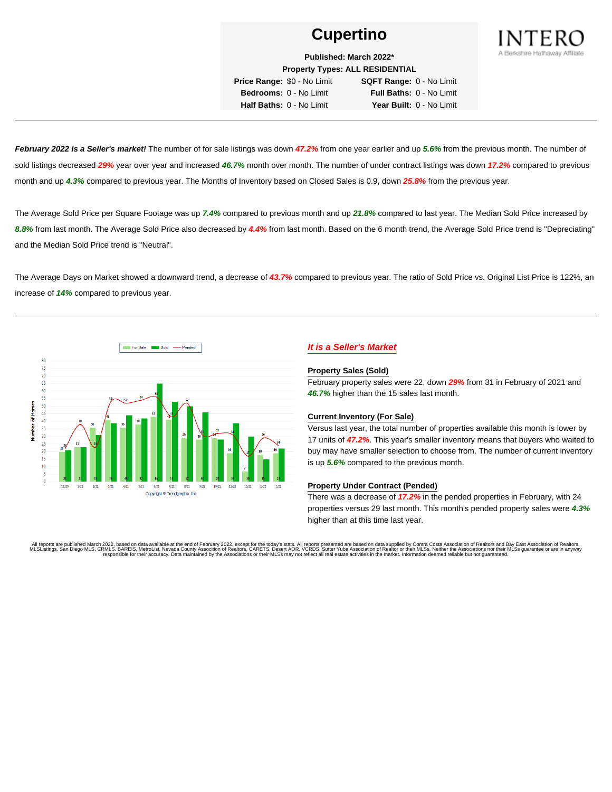

**Published: March 2022\***

**Property Types: ALL RESIDENTIAL**

**Price Range:** \$0 - No Limit **SQFT Range:** 0 - No Limit **Bedrooms:** 0 - No Limit **Full Baths:** 0 - No Limit **Half Baths:** 0 - No Limit **Year Built:** 0 - No Limit

**February 2022 is a Seller's market!** The number of for sale listings was down **47.2%** from one year earlier and up **5.6%** from the previous month. The number of sold listings decreased **29%** year over year and increased **46.7%** month over month. The number of under contract listings was down **17.2%** compared to previous month and up **4.3%** compared to previous year. The Months of Inventory based on Closed Sales is 0.9, down **25.8%** from the previous year.

The Average Sold Price per Square Footage was up **7.4%** compared to previous month and up **21.8%** compared to last year. The Median Sold Price increased by **8.8%** from last month. The Average Sold Price also decreased by **4.4%** from last month. Based on the 6 month trend, the Average Sold Price trend is "Depreciating" and the Median Sold Price trend is "Neutral".

The Average Days on Market showed a downward trend, a decrease of **43.7%** compared to previous year. The ratio of Sold Price vs. Original List Price is 122%, an increase of **14%** compared to previous year.



# **It is a Seller's Market**

#### **Property Sales (Sold)**

February property sales were 22, down **29%** from 31 in February of 2021 and **46.7%** higher than the 15 sales last month.

### **Current Inventory (For Sale)**

Versus last year, the total number of properties available this month is lower by 17 units of **47.2%**. This year's smaller inventory means that buyers who waited to buy may have smaller selection to choose from. The number of current inventory is up **5.6%** compared to the previous month.

### **Property Under Contract (Pended)**

There was a decrease of **17.2%** in the pended properties in February, with 24 properties versus 29 last month. This month's pended property sales were **4.3%** higher than at this time last year.

All reports are published March 2022, based on data available at the end of February 2022, except for the today's stats. All reports presented are based on data supplied by Contra Costa Association of Realtors and Bay East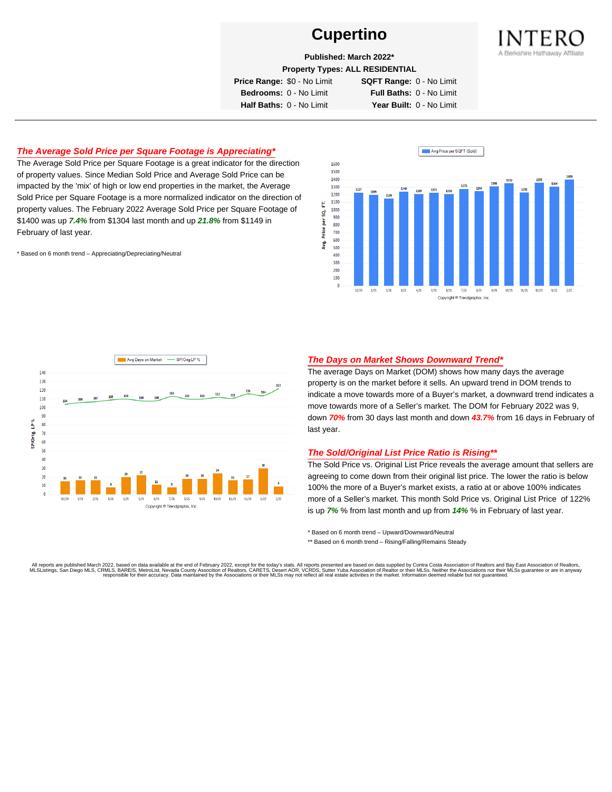

**Published: March 2022\***

**Property Types: ALL RESIDENTIAL**

**Price Range:** \$0 - No Limit **SQFT Range:** 0 - No Limit

**Bedrooms:** 0 - No Limit **Full Baths:** 0 - No Limit **Half Baths:** 0 - No Limit **Year Built:** 0 - No Limit

# **The Average Sold Price per Square Footage is Appreciating\***

The Average Sold Price per Square Footage is a great indicator for the direction of property values. Since Median Sold Price and Average Sold Price can be impacted by the 'mix' of high or low end properties in the market, the Average Sold Price per Square Footage is a more normalized indicator on the direction of property values. The February 2022 Average Sold Price per Square Footage of \$1400 was up **7.4%** from \$1304 last month and up **21.8%** from \$1149 in February of last year.

\* Based on 6 month trend – Appreciating/Depreciating/Neutral





## **The Days on Market Shows Downward Trend\***

The average Days on Market (DOM) shows how many days the average property is on the market before it sells. An upward trend in DOM trends to indicate a move towards more of a Buyer's market, a downward trend indicates a move towards more of a Seller's market. The DOM for February 2022 was 9, down **70%** from 30 days last month and down **43.7%** from 16 days in February of last year.

### **The Sold/Original List Price Ratio is Rising\*\***

The Sold Price vs. Original List Price reveals the average amount that sellers are agreeing to come down from their original list price. The lower the ratio is below 100% the more of a Buyer's market exists, a ratio at or above 100% indicates more of a Seller's market. This month Sold Price vs. Original List Price of 122% is up **7%** % from last month and up from **14%** % in February of last year.

\* Based on 6 month trend – Upward/Downward/Neutral

\*\* Based on 6 month trend - Rising/Falling/Remains Steady

All reports are published March 2022, based on data available at the end of February 2022, except for the today's stats. All reports presented are based on data supplied by Contra Costa Association of Realtors and Bay East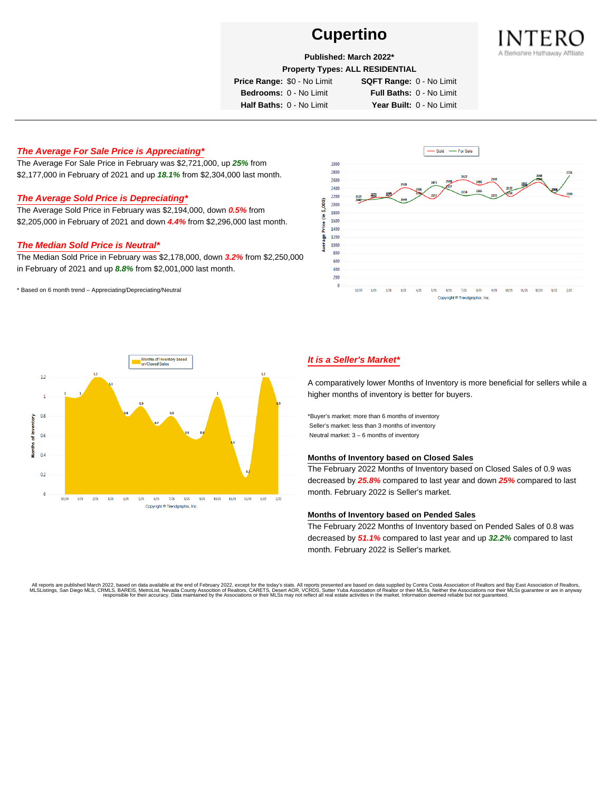

## **Published: March 2022\***

**Property Types: ALL RESIDENTIAL**

**Price Range:** \$0 - No Limit **SQFT Range:** 0 - No Limit

**Bedrooms:** 0 - No Limit **Full Baths:** 0 - No Limit **Half Baths:** 0 - No Limit **Year Built:** 0 - No Limit

## **The Average For Sale Price is Appreciating\***

The Average For Sale Price in February was \$2,721,000, up **25%** from \$2,177,000 in February of 2021 and up **18.1%** from \$2,304,000 last month.

## **The Average Sold Price is Depreciating\***

The Average Sold Price in February was \$2,194,000, down **0.5%** from \$2,205,000 in February of 2021 and down **4.4%** from \$2,296,000 last month.

### **The Median Sold Price is Neutral\***

The Median Sold Price in February was \$2,178,000, down **3.2%** from \$2,250,000 in February of 2021 and up **8.8%** from \$2,001,000 last month.

\* Based on 6 month trend – Appreciating/Depreciating/Neutral





## **It is a Seller's Market\***

A comparatively lower Months of Inventory is more beneficial for sellers while a higher months of inventory is better for buyers.

\*Buyer's market: more than 6 months of inventory Seller's market: less than 3 months of inventory Neutral market: 3 – 6 months of inventory

#### **Months of Inventory based on Closed Sales**

The February 2022 Months of Inventory based on Closed Sales of 0.9 was decreased by **25.8%** compared to last year and down **25%** compared to last month. February 2022 is Seller's market.

#### **Months of Inventory based on Pended Sales**

The February 2022 Months of Inventory based on Pended Sales of 0.8 was decreased by **51.1%** compared to last year and up **32.2%** compared to last month. February 2022 is Seller's market.

. All reports are published March 2022, based on data available at the end of February 2022, except for the today's stats. All reports presented are based on data supplied by Contra Costa Association of Realtors, San Bread responsible for their accuracy. Data maintained by the Associations or their MLSs may not reflect all real estate activities in the market. Information deemed reliable but not guaranteed.